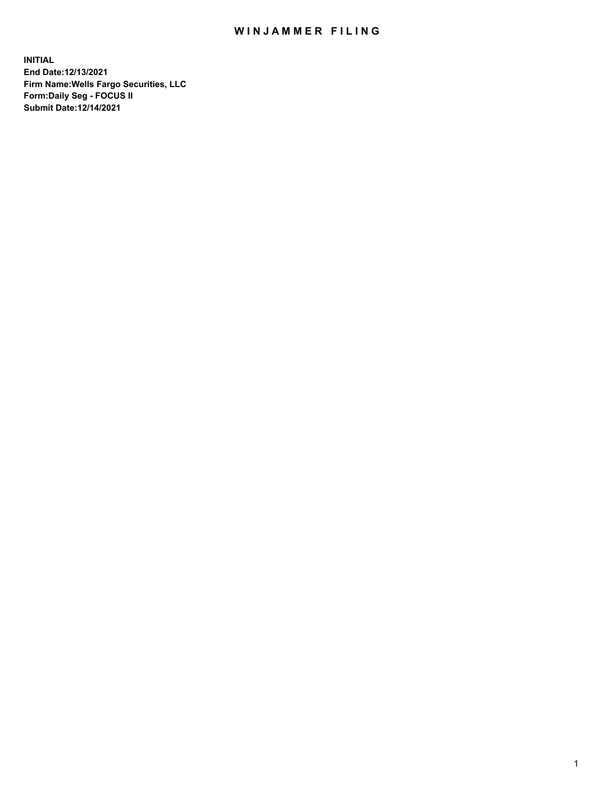## WIN JAMMER FILING

**INITIAL End Date:12/13/2021 Firm Name:Wells Fargo Securities, LLC Form:Daily Seg - FOCUS II Submit Date:12/14/2021**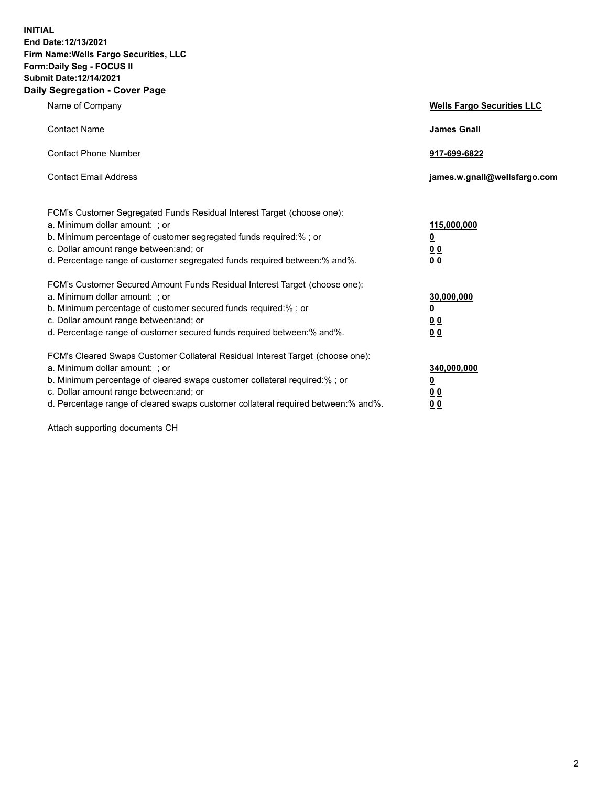**INITIAL End Date:12/13/2021 Firm Name:Wells Fargo Securities, LLC Form:Daily Seg - FOCUS II Submit Date:12/14/2021 Daily Segregation - Cover Page**

| Name of Company                                                                                                                                                                                                                                                                                                                | <b>Wells Fargo Securities LLC</b>                          |
|--------------------------------------------------------------------------------------------------------------------------------------------------------------------------------------------------------------------------------------------------------------------------------------------------------------------------------|------------------------------------------------------------|
| <b>Contact Name</b>                                                                                                                                                                                                                                                                                                            | <b>James Gnall</b>                                         |
| <b>Contact Phone Number</b>                                                                                                                                                                                                                                                                                                    | 917-699-6822                                               |
| <b>Contact Email Address</b>                                                                                                                                                                                                                                                                                                   | james.w.gnall@wellsfargo.com                               |
| FCM's Customer Segregated Funds Residual Interest Target (choose one):<br>a. Minimum dollar amount: ; or<br>b. Minimum percentage of customer segregated funds required:% ; or<br>c. Dollar amount range between: and; or<br>d. Percentage range of customer segregated funds required between: % and %.                       | 115,000,000<br><u>0</u><br><u>00</u><br>0 <sub>0</sub>     |
| FCM's Customer Secured Amount Funds Residual Interest Target (choose one):<br>a. Minimum dollar amount: ; or<br>b. Minimum percentage of customer secured funds required:% ; or<br>c. Dollar amount range between: and; or<br>d. Percentage range of customer secured funds required between: % and %.                         | 30,000,000<br><u>0</u><br>0 <sub>0</sub><br>0 <sub>0</sub> |
| FCM's Cleared Swaps Customer Collateral Residual Interest Target (choose one):<br>a. Minimum dollar amount: ; or<br>b. Minimum percentage of cleared swaps customer collateral required:% ; or<br>c. Dollar amount range between: and; or<br>d. Percentage range of cleared swaps customer collateral required between:% and%. | 340,000,000<br><u>0</u><br>00<br><u>00</u>                 |

Attach supporting documents CH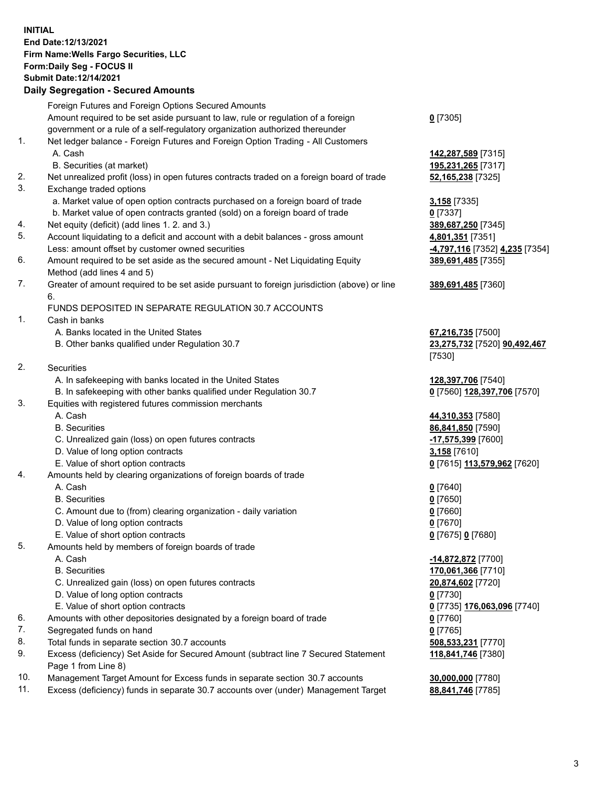**INITIAL End Date:12/13/2021 Firm Name:Wells Fargo Securities, LLC Form:Daily Seg - FOCUS II Submit Date:12/14/2021**

## **Daily Segregation - Secured Amounts**

|     | Foreign Futures and Foreign Options Secured Amounts                                         |                                |
|-----|---------------------------------------------------------------------------------------------|--------------------------------|
|     | Amount required to be set aside pursuant to law, rule or regulation of a foreign            | $0$ [7305]                     |
|     | government or a rule of a self-regulatory organization authorized thereunder                |                                |
| 1.  | Net ledger balance - Foreign Futures and Foreign Option Trading - All Customers             |                                |
|     | A. Cash                                                                                     | 142,287,589 [7315]             |
|     | B. Securities (at market)                                                                   | 195,231,265 [7317]             |
| 2.  | Net unrealized profit (loss) in open futures contracts traded on a foreign board of trade   | 52,165,238 [7325]              |
| 3.  | Exchange traded options                                                                     |                                |
|     | a. Market value of open option contracts purchased on a foreign board of trade              | 3,158 [7335]                   |
|     | b. Market value of open contracts granted (sold) on a foreign board of trade                | $0$ [7337]                     |
| 4.  | Net equity (deficit) (add lines 1. 2. and 3.)                                               | 389,687,250 [7345]             |
| 5.  | Account liquidating to a deficit and account with a debit balances - gross amount           | 4,801,351 [7351]               |
|     | Less: amount offset by customer owned securities                                            | -4,797,116 [7352] 4,235 [7354] |
| 6.  | Amount required to be set aside as the secured amount - Net Liquidating Equity              | 389,691,485 [7355]             |
|     | Method (add lines 4 and 5)                                                                  |                                |
| 7.  | Greater of amount required to be set aside pursuant to foreign jurisdiction (above) or line | 389,691,485 [7360]             |
|     | 6.                                                                                          |                                |
|     | FUNDS DEPOSITED IN SEPARATE REGULATION 30.7 ACCOUNTS                                        |                                |
| 1.  | Cash in banks                                                                               |                                |
|     | A. Banks located in the United States                                                       | 67,216,735 [7500]              |
|     | B. Other banks qualified under Regulation 30.7                                              | 23,275,732 [7520] 90,492,467   |
|     |                                                                                             | [7530]                         |
| 2.  | <b>Securities</b>                                                                           |                                |
|     | A. In safekeeping with banks located in the United States                                   | 128,397,706 [7540]             |
|     | B. In safekeeping with other banks qualified under Regulation 30.7                          | 0 [7560] 128,397,706 [7570]    |
| 3.  | Equities with registered futures commission merchants                                       |                                |
|     | A. Cash                                                                                     | 44,310,353 [7580]              |
|     | <b>B.</b> Securities                                                                        | 86,841,850 [7590]              |
|     | C. Unrealized gain (loss) on open futures contracts                                         | -17,575,399 [7600]             |
|     | D. Value of long option contracts                                                           | 3,158 [7610]                   |
|     | E. Value of short option contracts                                                          | 0 [7615] 113,579,962 [7620]    |
| 4.  | Amounts held by clearing organizations of foreign boards of trade                           |                                |
|     | A. Cash                                                                                     | $0$ [7640]                     |
|     | <b>B.</b> Securities                                                                        | $0$ [7650]                     |
|     | C. Amount due to (from) clearing organization - daily variation                             | $0$ [7660]                     |
|     | D. Value of long option contracts                                                           | $0$ [7670]                     |
|     | E. Value of short option contracts                                                          | 0 [7675] 0 [7680]              |
| 5.  | Amounts held by members of foreign boards of trade                                          |                                |
|     | A. Cash                                                                                     | -14,872,872 [7700]             |
|     | <b>B.</b> Securities                                                                        | 170,061,366 [7710]             |
|     | C. Unrealized gain (loss) on open futures contracts                                         | 20,874,602 [7720]              |
|     | D. Value of long option contracts                                                           | $0$ [7730]                     |
|     | E. Value of short option contracts                                                          | 0 [7735] 176,063,096 [7740]    |
| 6.  | Amounts with other depositories designated by a foreign board of trade                      | 0 [7760]                       |
| 7.  | Segregated funds on hand                                                                    | $0$ [7765]                     |
| 8.  | Total funds in separate section 30.7 accounts                                               | 508,533,231 [7770]             |
| 9.  | Excess (deficiency) Set Aside for Secured Amount (subtract line 7 Secured Statement         | 118,841,746 [7380]             |
|     | Page 1 from Line 8)                                                                         |                                |
| 10. | Management Target Amount for Excess funds in separate section 30.7 accounts                 | 30,000,000 [7780]              |
|     |                                                                                             |                                |

11. Excess (deficiency) funds in separate 30.7 accounts over (under) Management Target **88,841,746** [7785]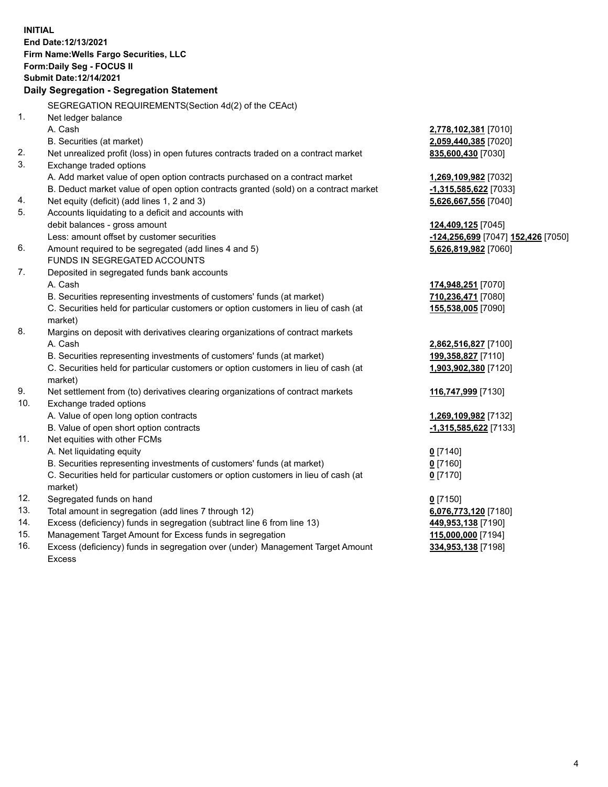**INITIAL End Date:12/13/2021 Firm Name:Wells Fargo Securities, LLC Form:Daily Seg - FOCUS II Submit Date:12/14/2021 Daily Segregation - Segregation Statement** SEGREGATION REQUIREMENTS(Section 4d(2) of the CEAct) 1. Net ledger balance A. Cash **2,778,102,381** [7010] B. Securities (at market) **2,059,440,385** [7020] 2. Net unrealized profit (loss) in open futures contracts traded on a contract market **835,600,430** [7030] 3. Exchange traded options A. Add market value of open option contracts purchased on a contract market **1,269,109,982** [7032] B. Deduct market value of open option contracts granted (sold) on a contract market **-1,315,585,622** [7033] 4. Net equity (deficit) (add lines 1, 2 and 3) **5,626,667,556** [7040] 5. Accounts liquidating to a deficit and accounts with debit balances - gross amount **124,409,125** [7045] Less: amount offset by customer securities **-124,256,699** [7047] **152,426** [7050] 6. Amount required to be segregated (add lines 4 and 5) **5,626,819,982** [7060] FUNDS IN SEGREGATED ACCOUNTS 7. Deposited in segregated funds bank accounts A. Cash **174,948,251** [7070] B. Securities representing investments of customers' funds (at market) **710,236,471** [7080] C. Securities held for particular customers or option customers in lieu of cash (at market) **155,538,005** [7090] 8. Margins on deposit with derivatives clearing organizations of contract markets A. Cash **2,862,516,827** [7100] B. Securities representing investments of customers' funds (at market) **199,358,827** [7110] C. Securities held for particular customers or option customers in lieu of cash (at market) **1,903,902,380** [7120] 9. Net settlement from (to) derivatives clearing organizations of contract markets **116,747,999** [7130] 10. Exchange traded options A. Value of open long option contracts **1,269,109,982** [7132] B. Value of open short option contracts **-1,315,585,622** [7133] 11. Net equities with other FCMs A. Net liquidating equity **0** [7140] B. Securities representing investments of customers' funds (at market) **0** [7160] C. Securities held for particular customers or option customers in lieu of cash (at **0** [7170]

12. Segregated funds on hand **0** [7150]

market)

- 13. Total amount in segregation (add lines 7 through 12) **6,076,773,120** [7180]
- 14. Excess (deficiency) funds in segregation (subtract line 6 from line 13) **449,953,138** [7190]
- 15. Management Target Amount for Excess funds in segregation **115,000,000** [7194]
- 16. Excess (deficiency) funds in segregation over (under) Management Target Amount Excess

**334,953,138** [7198]